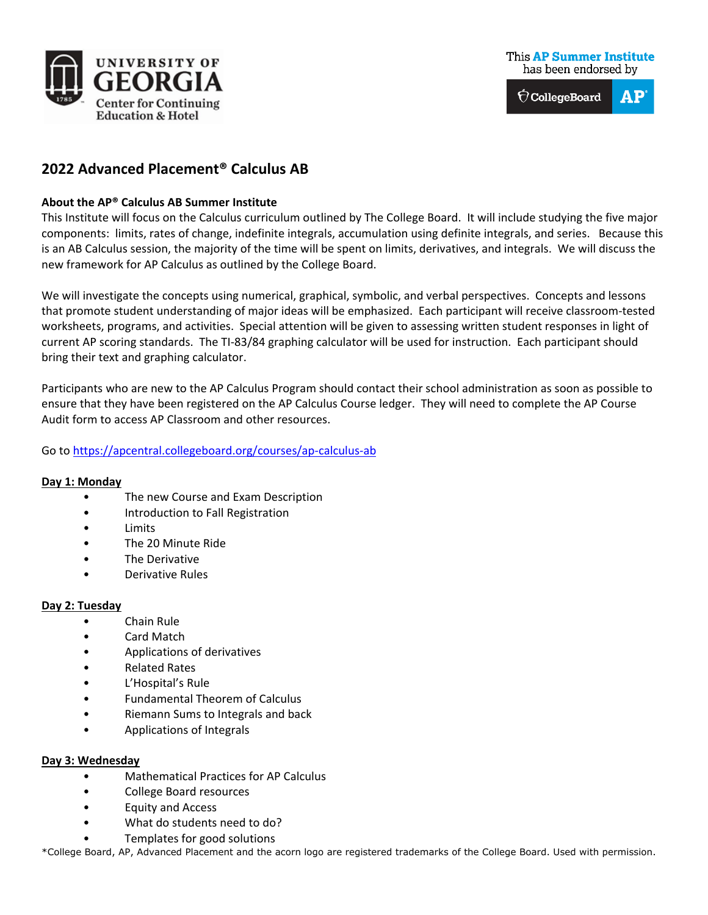

 $\bigcirc$  CollegeBoard  $\mathbf{A}\mathbf{P}$ 

# **2022 Advanced Placement® Calculus AB**

## **About the AP® Calculus AB Summer Institute**

This Institute will focus on the Calculus curriculum outlined by The College Board. It will include studying the five major components: limits, rates of change, indefinite integrals, accumulation using definite integrals, and series. Because this is an AB Calculus session, the majority of the time will be spent on limits, derivatives, and integrals. We will discuss the new framework for AP Calculus as outlined by the College Board.

We will investigate the concepts using numerical, graphical, symbolic, and verbal perspectives. Concepts and lessons that promote student understanding of major ideas will be emphasized. Each participant will receive classroom-tested worksheets, programs, and activities. Special attention will be given to assessing written student responses in light of current AP scoring standards. The TI-83/84 graphing calculator will be used for instruction. Each participant should bring their text and graphing calculator.

Participants who are new to the AP Calculus Program should contact their school administration as soon as possible to ensure that they have been registered on the AP Calculus Course ledger. They will need to complete the AP Course Audit form to access AP Classroom and other resources.

# Go to<https://apcentral.collegeboard.org/courses/ap-calculus-ab>

### **Day 1: Monday**

- The new Course and Exam Description
- Introduction to Fall Registration
- **Limits**
- The 20 Minute Ride
- The Derivative
- Derivative Rules

### **Day 2: Tuesday**

- Chain Rule
- Card Match
- Applications of derivatives
- Related Rates
- L'Hospital's Rule
- Fundamental Theorem of Calculus
- Riemann Sums to Integrals and back
- Applications of Integrals

#### **Day 3: Wednesday**

- Mathematical Practices for AP Calculus
- College Board resources
- Equity and Access
- What do students need to do?
- Templates for good solutions

\*College Board, AP, Advanced Placement and the acorn logo are registered trademarks of the College Board. Used with permission.